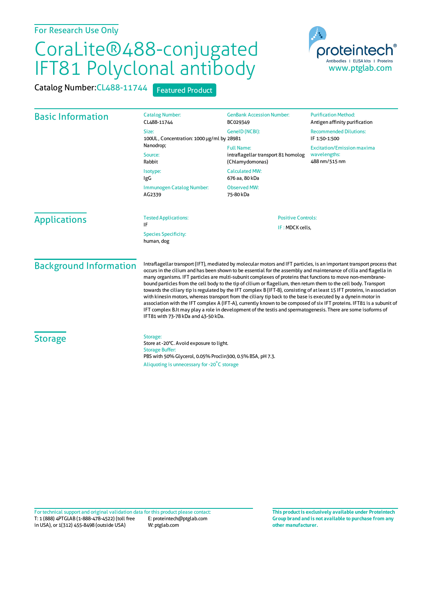## For Research Use Only

## CoraLite®488-conjugated IFT81 Polyclonal antibody

Catalog Number: CL488-11744 Featured Product



| <b>Basic Information</b>      | <b>Catalog Number:</b><br>CL488-11744<br>Size:<br>100UL, Concentration: 1000 µg/ml by 28981                                                                                                                                                                                                                                                                                                                                                                                                                                                                                                                                                                                                                                                                                                                                                                                                                                                                                                                    | <b>GenBank Accession Number:</b><br>BC029349<br>GenelD (NCBI):              | <b>Purification Method:</b><br>Antigen affinity purification<br><b>Recommended Dilutions:</b><br>IF 1:50-1:500 |  |
|-------------------------------|----------------------------------------------------------------------------------------------------------------------------------------------------------------------------------------------------------------------------------------------------------------------------------------------------------------------------------------------------------------------------------------------------------------------------------------------------------------------------------------------------------------------------------------------------------------------------------------------------------------------------------------------------------------------------------------------------------------------------------------------------------------------------------------------------------------------------------------------------------------------------------------------------------------------------------------------------------------------------------------------------------------|-----------------------------------------------------------------------------|----------------------------------------------------------------------------------------------------------------|--|
|                               | Nanodrop;<br>Source:<br>Rabbit                                                                                                                                                                                                                                                                                                                                                                                                                                                                                                                                                                                                                                                                                                                                                                                                                                                                                                                                                                                 | <b>Full Name:</b><br>intraflagellar transport 81 homolog<br>(Chlamydomonas) | <b>Excitation/Emission maxima</b><br>wavelengths:<br>488 nm/515 nm                                             |  |
|                               | Isotype:<br>IgG                                                                                                                                                                                                                                                                                                                                                                                                                                                                                                                                                                                                                                                                                                                                                                                                                                                                                                                                                                                                | <b>Calculated MW:</b><br>676 aa, 80 kDa                                     |                                                                                                                |  |
|                               | Immunogen Catalog Number:<br>AG2339                                                                                                                                                                                                                                                                                                                                                                                                                                                                                                                                                                                                                                                                                                                                                                                                                                                                                                                                                                            | <b>Observed MW:</b><br>75-80 kDa                                            |                                                                                                                |  |
| <b>Applications</b>           | <b>Tested Applications:</b><br>IF                                                                                                                                                                                                                                                                                                                                                                                                                                                                                                                                                                                                                                                                                                                                                                                                                                                                                                                                                                              |                                                                             | <b>Positive Controls:</b>                                                                                      |  |
|                               | <b>Species Specificity:</b><br>human, dog                                                                                                                                                                                                                                                                                                                                                                                                                                                                                                                                                                                                                                                                                                                                                                                                                                                                                                                                                                      | IF: MDCK cells,                                                             |                                                                                                                |  |
| <b>Background Information</b> | Intraflagellar transport (IFT), mediated by molecular motors and IFT particles, is an important transport process that<br>occurs in the cilium and has been shown to be essential for the assembly and maintenance of cilia and flagella in<br>many organisms. IFT particles are multi-subunit complexes of proteins that functions to move non-membrane-<br>bound particles from the cell body to the tip of cilium or flagellum, then return them to the cell body. Transport<br>towards the ciliary tip is regulated by the IFT complex B (IFT-B), consisting of at least 15 IFT proteins, in association<br>with kinesin motors, whereas transport from the ciliary tip back to the base is executed by a dynein motor in<br>association with the IFT complex A (IFT-A), currently known to be composed of six IFT proteins. IFT81 is a subunit of<br>IFT complex B.It may play a role in development of the testis and spermatogenesis. There are some isoforms of<br>IFT81 with 73-78 kDa and 43-50 kDa. |                                                                             |                                                                                                                |  |
| <b>Storage</b>                | Storage:<br>Store at -20°C. Avoid exposure to light.<br><b>Storage Buffer:</b><br>PBS with 50% Glycerol, 0.05% Proclin300, 0.5% BSA, pH 7.3.<br>Aliquoting is unnecessary for -20°C storage                                                                                                                                                                                                                                                                                                                                                                                                                                                                                                                                                                                                                                                                                                                                                                                                                    |                                                                             |                                                                                                                |  |

T: 1 (888) 4PTGLAB (1-888-478-4522) (toll free in USA), or 1(312) 455-8498 (outside USA) E: proteintech@ptglab.com W: ptglab.com Fortechnical support and original validation data forthis product please contact: **This productis exclusively available under Proteintech**

**Group brand and is not available to purchase from any other manufacturer.**